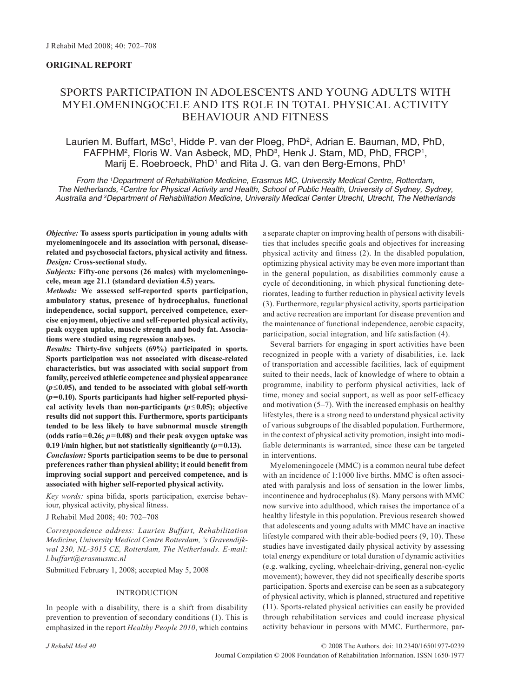## **ORIGINAL REPORT**

# SPORTS PARTICIPATION IN ADOLESCENTS AND YOUNG ADULTS WITH MYELOMENINGOCELE AND ITS ROLE IN TOTAL PHYSICAL ACTIVITY BEHAVIOUR AND FITNESS

## Laurien M. Buffart, MSc<sup>1</sup>, Hidde P. van der Ploeg, PhD<sup>2</sup>, Adrian E. Bauman, MD, PhD, FAFPHM<sup>2</sup>, Floris W. Van Asbeck, MD, PhD<sup>3</sup>, Henk J. Stam, MD, PhD, FRCP<sup>1</sup>, Marij E. Roebroeck, PhD<sup>1</sup> and Rita J. G. van den Berg-Emons, PhD<sup>1</sup>

*From the 1 Department of Rehabilitation Medicine, Erasmus MC, University Medical Centre, Rotterdam, The Netherlands, 2 Centre for Physical Activity and Health, School of Public Health, University of Sydney, Sydney, Australia and 3 Department of Rehabilitation Medicine, University Medical Center Utrecht, Utrecht, The Netherlands*

*Objective:* **To assess sports participation in young adults with myelomeningocele and its association with personal, diseaserelated and psychosocial factors, physical activity and fitness.** *Design:* **Cross-sectional study.**

*Subjects:* **Fifty-one persons (26 males) with myelomeningocele, mean age 21.1 (standard deviation 4.5) years.**

*Methods:* **We assessed self-reported sports participation, ambulatory status, presence of hydrocephalus, functional independence, social support, perceived competence, exercise enjoyment, objective and self-reported physical activity, peak oxygen uptake, muscle strength and body fat. Associations were studied using regression analyses.**

*Results:* **Thirty-five subjects (69%) participated in sports. Sports participation was not associated with disease-related characteristics, but was associated with social support from family, perceived athletic competence and physical appearance (***p*≤**0.05), and tended to be associated with global self-worth**   $(p=0.10)$ . Sports participants had higher self-reported physical activity levels than non-participants  $(p \leq 0.05)$ ; objective **results did not support this. Furthermore, sports participants tended to be less likely to have subnormal muscle strength (odds ratio=0.26;** *p***=0.08) and their peak oxygen uptake was**  0.19  $l$ /min higher, but not statistically significantly  $(p=0.13)$ .

*Conclusion:* **Sports participation seems to be due to personal preferences rather than physical ability; it could benefit from improving social support and perceived competence, and is associated with higher self-reported physical activity.** 

*Key words:* spina bifida, sports participation, exercise behaviour, physical activity, physical fitness.

J Rehabil Med 2008; 40: 702–708

*Correspondence address: Laurien Buffart, Rehabilitation Medicine, University Medical Centre Rotterdam, 's Gravendijkwal 230, NL-3015 CE, Rotterdam, The Netherlands. E-mail: l.buffart@erasmusmc.nl*

Submitted February 1, 2008; accepted May 5, 2008

## INTRODUCTION

In people with a disability, there is a shift from disability prevention to prevention of secondary conditions (1). This is emphasized in the report *Healthy People 2010*, which contains a separate chapter on improving health of persons with disabilities that includes specific goals and objectives for increasing physical activity and fitness (2). In the disabled population, optimizing physical activity may be even more important than in the general population, as disabilities commonly cause a cycle of deconditioning, in which physical functioning deteriorates, leading to further reduction in physical activity levels (3). Furthermore, regular physical activity, sports participation and active recreation are important for disease prevention and the maintenance of functional independence, aerobic capacity, participation, social integration, and life satisfaction (4).

Several barriers for engaging in sport activities have been recognized in people with a variety of disabilities, i.e. lack of transportation and accessible facilities, lack of equipment suited to their needs, lack of knowledge of where to obtain a programme, inability to perform physical activities, lack of time, money and social support, as well as poor self-efficacy and motivation (5–7). With the increased emphasis on healthy lifestyles, there is a strong need to understand physical activity of various subgroups of the disabled population. Furthermore, in the context of physical activity promotion, insight into modifiable determinants is warranted, since these can be targeted in interventions.

Myelomeningocele (MMC) is a common neural tube defect with an incidence of 1:1000 live births. MMC is often associated with paralysis and loss of sensation in the lower limbs, incontinence and hydrocephalus (8). Many persons with MMC now survive into adulthood, which raises the importance of a healthy lifestyle in this population. Previous research showed that adolescents and young adults with MMC have an inactive lifestyle compared with their able-bodied peers (9, 10). These studies have investigated daily physical activity by assessing total energy expenditure or total duration of dynamic activities (e.g. walking, cycling, wheelchair-driving, general non-cyclic movement); however, they did not specifically describe sports participation. Sports and exercise can be seen as a subcategory of physical activity, which is planned, structured and repetitive (11). Sports-related physical activities can easily be provided through rehabilitation services and could increase physical activity behaviour in persons with MMC. Furthermore, par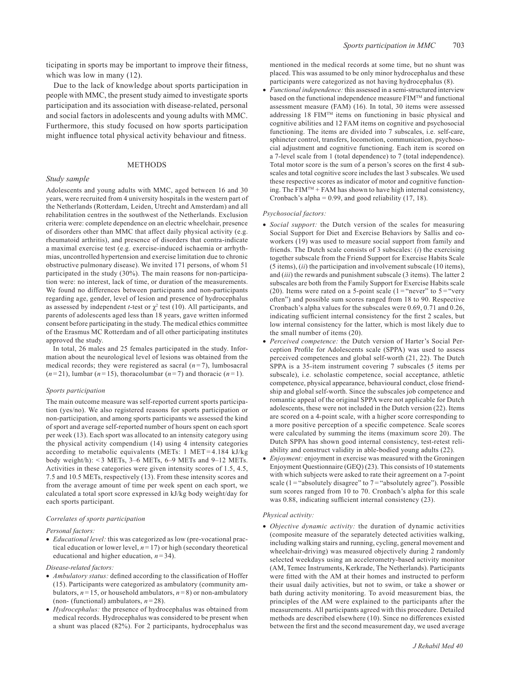ticipating in sports may be important to improve their fitness, which was low in many  $(12)$ .

Due to the lack of knowledge about sports participation in people with MMC, the present study aimed to investigate sports participation and its association with disease-related, personal and social factors in adolescents and young adults with MMC. Furthermore, this study focused on how sports participation might influence total physical activity behaviour and fitness.

#### METHODS

#### *Study sample*

Adolescents and young adults with MMC, aged between 16 and 30 years, were recruited from 4 university hospitals in the western part of the Netherlands (Rotterdam, Leiden, Utrecht and Amsterdam) and all rehabilitation centres in the southwest of the Netherlands. Exclusion criteria were: complete dependence on an electric wheelchair, presence of disorders other than MMC that affect daily physical activity (e.g. rheumatoid arthritis), and presence of disorders that contra-indicate a maximal exercise test (e.g. exercise-induced ischaemia or arrhythmias, uncontrolled hypertension and exercise limitation due to chronic obstructive pulmonary disease). We invited 171 persons, of whom 51 participated in the study (30%). The main reasons for non-participation were: no interest, lack of time, or duration of the measurements. We found no differences between participants and non-participants regarding age, gender, level of lesion and presence of hydrocephalus as assessed by independent *t*-test or  $\chi^2$  test (10). All participants, and parents of adolescents aged less than 18 years, gave written informed consent before participating in the study. The medical ethics committee of the Erasmus MC Rotterdam and of all other participating institutes approved the study.

In total, 26 males and 25 females participated in the study. Information about the neurological level of lesions was obtained from the medical records; they were registered as sacral  $(n=7)$ , lumbosacral  $(n=21)$ , lumbar  $(n=15)$ , thoracolumbar  $(n=7)$  and thoracic  $(n=1)$ .

#### *Sports participation*

The main outcome measure was self-reported current sports participation (yes/no). We also registered reasons for sports participation or non-participation, and among sports participants we assessed the kind of sport and average self-reported number of hours spent on each sport per week (13). Each sport was allocated to an intensity category using the physical activity compendium (14) using 4 intensity categories according to metabolic equivalents (METs: 1 MET = 4.184 kJ/kg body weight/h): <3 METs,  $3-6$  METs,  $6-9$  METs and  $9-12$  METs. Activities in these categories were given intensity scores of 1.5, 4.5, 7.5 and 10.5 METs, respectively (13). From these intensity scores and from the average amount of time per week spent on each sport, we calculated a total sport score expressed in kJ/kg body weight/day for each sports participant.

## *Correlates of sports participation*

#### *Personal factors:*

• *Educational level:* this was categorized as low (pre-vocational practical education or lower level,  $n = 17$ ) or high (secondary theoretical educational and higher education,  $n = 34$ ).

#### *Disease-related factors:*

- *Ambulatory status:* defined according to the classification of Hoffer (15). Participants were categorized as ambulatory (community ambulators,  $n = 15$ , or household ambulators,  $n = 8$ ) or non-ambulatory (non- (functional) ambulators, *n* = 28).
- *Hydrocephalus:* the presence of hydrocephalus was obtained from medical records. Hydrocephalus was considered to be present when a shunt was placed (82%). For 2 participants, hydrocephalus was

mentioned in the medical records at some time, but no shunt was placed. This was assumed to be only minor hydrocephalus and these participants were categorized as not having hydrocephalus (8).

• *Functional independence:* this assessed in a semi-structured interview based on the functional independence measure FIMTM and functional assessment measure (FAM) (16). In total, 30 items were assessed addressing 18 FIMTM items on functioning in basic physical and cognitive abilities and 12 FAM items on cognitive and psychosocial functioning. The items are divided into 7 subscales, i.e. self-care, sphincter control, transfers, locomotion, communication, psychosocial adjustment and cognitive functioning. Each item is scored on a 7-level scale from 1 (total dependence) to 7 (total independence). Total motor score is the sum of a person's scores on the first 4 subscales and total cognitive score includes the last 3 subscales. We used these respective scores as indicator of motor and cognitive functioning. The FIM<sup>TM</sup> + FAM has shown to have high internal consistency, Cronbach's alpha =  $0.99$ , and good reliability (17, 18).

#### *Psychosocial factors:*

- *Social support:* the Dutch version of the scales for measuring Social Support for Diet and Exercise Behaviors by Sallis and coworkers (19) was used to measure social support from family and friends. The Dutch scale consists of 3 subscales: (*i*) the exercising together subscale from the Friend Support for Exercise Habits Scale (5 items), (*ii*) the participation and involvement subscale (10 items), and (*iii*) the rewards and punishment subscale (3 items). The latter 2 subscales are both from the Family Support for Exercise Habits scale (20). Items were rated on a 5-point scale (1 = "never" to  $5 =$  "very" often") and possible sum scores ranged from 18 to 90. Respective Cronbach's alpha values for the subscales were 0.69, 0.71 and 0.26, indicating sufficient internal consistency for the first 2 scales, but low internal consistency for the latter, which is most likely due to the small number of items (20).
- *Perceived competence:* the Dutch version of Harter's Social Perception Profile for Adolescents scale (SPPA) was used to assess perceived competences and global self-worth (21, 22). The Dutch SPPA is a 35-item instrument covering 7 subscales (5 items per subscale), i.e. scholastic competence, social acceptance, athletic competence, physical appearance, behavioural conduct, close friendship and global self-worth. Since the subscales job competence and romantic appeal of the original SPPA were not applicable for Dutch adolescents, these were not included in the Dutch version (22). Items are scored on a 4-point scale, with a higher score corresponding to a more positive perception of a specific competence. Scale scores were calculated by summing the items (maximum score 20). The Dutch SPPA has shown good internal consistency, test-retest reliability and construct validity in able-bodied young adults (22).
- *Enjoyment:* enjoyment in exercise was measured with the Groningen Enjoyment Questionnaire (GEQ) (23). This consists of 10 statements with which subjects were asked to rate their agreement on a 7-point scale (1 = "absolutely disagree" to  $7 =$  "absolutely agree"). Possible sum scores ranged from 10 to 70. Cronbach's alpha for this scale was 0.88, indicating sufficient internal consistency (23).

#### *Physical activity:*

• *Objective dynamic activity:* the duration of dynamic activities (composite measure of the separately detected activities walking, including walking stairs and running, cycling, general movement and wheelchair-driving) was measured objectively during 2 randomly selected weekdays using an accelerometry-based activity monitor (AM, Temec Instruments, Kerkrade, The Netherlands). Participants were fitted with the AM at their homes and instructed to perform their usual daily activities, but not to swim, or take a shower or bath during activity monitoring. To avoid measurement bias, the principles of the AM were explained to the participants after the measurements. All participants agreed with this procedure. Detailed methods are described elsewhere (10). Since no differences existed between the first and the second measurement day, we used average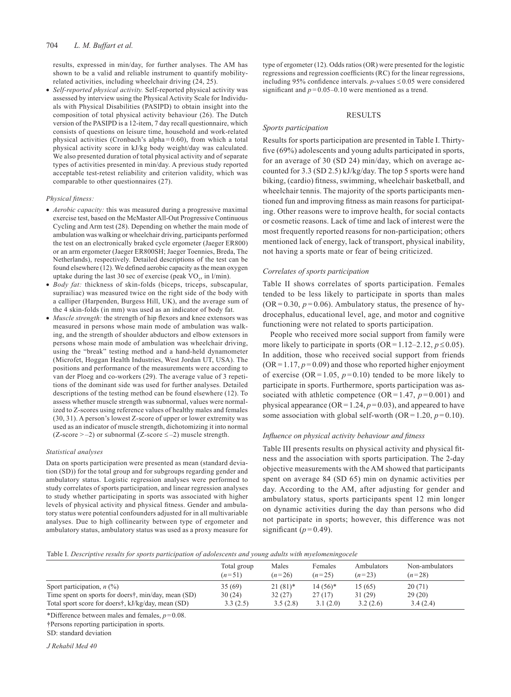results, expressed in min/day, for further analyses. The AM has shown to be a valid and reliable instrument to quantify mobilityrelated activities, including wheelchair driving (24, 25).

• *Self-reported physical activity.* Self-reported physical activity was assessed by interview using the Physical Activity Scale for Individuals with Physical Disabilities (PASIPD) to obtain insight into the composition of total physical activity behaviour (26). The Dutch version of the PASIPD is a 12-item, 7 day recall questionnaire, which consists of questions on leisure time, household and work-related physical activities (Cronbach's alpha= $0.60$ ), from which a total physical activity score in kJ/kg body weight/day was calculated. We also presented duration of total physical activity and of separate types of activities presented in min/day. A previous study reported acceptable test-retest reliability and criterion validity, which was comparable to other questionnaires (27).

#### *Physical fitness:*

- *Aerobic capacity:* this was measured during a progressive maximal exercise test, based on the McMaster All-Out Progressive Continuous Cycling and Arm test (28). Depending on whether the main mode of ambulation was walking or wheelchair driving, participants performed the test on an electronically braked cycle ergometer (Jaeger ER800) or an arm ergometer (Jaeger ER800SH; Jaeger Toennies, Breda, The Netherlands), respectively. Detailed descriptions of the test can be found elsewhere (12). We defined aerobic capacity as the mean oxygen uptake during the last 30 sec of exercise (peak  $VO_2$ , in  $l/min$ ).
- *Body fat:* thickness of skin-folds (biceps, triceps, subscapular, suprailiac) was measured twice on the right side of the body with a calliper (Harpenden, Burgess Hill, UK), and the average sum of the 4 skin-folds (in mm) was used as an indicator of body fat.
- *Muscle strength:* the strength of hip flexors and knee extensors was measured in persons whose main mode of ambulation was walking, and the strength of shoulder abductors and elbow extensors in persons whose main mode of ambulation was wheelchair driving, using the "break" testing method and a hand-held dynamometer (Microfet, Hoggan Health Industries, West Jordan UT, USA). The positions and performance of the measurements were according to van der Ploeg and co-workers (29). The average value of 3 repetitions of the dominant side was used for further analyses. Detailed descriptions of the testing method can be found elsewhere (12). To assess whether muscle strength was subnormal, values were normalized to Z-scores using reference values of healthy males and females (30, 31). A person's lowest Z-score of upper or lower extremity was used as an indicator of muscle strength, dichotomizing it into normal  $(Z-score > -2)$  or subnormal  $(Z-score \le -2)$  muscle strength.

#### *Statistical analyses*

Data on sports participation were presented as mean (standard deviation (SD)) for the total group and for subgroups regarding gender and ambulatory status. Logistic regression analyses were performed to study correlates of sports participation, and linear regression analyses to study whether participating in sports was associated with higher levels of physical activity and physical fitness. Gender and ambulatory status were potential confounders adjusted for in all multivariable analyses. Due to high collinearity between type of ergometer and ambulatory status, ambulatory status was used as a proxy measure for type of ergometer (12). Odds ratios (OR) were presented for the logistic regressions and regression coefficients (RC) for the linear regressions, including 95% confidence intervals. *p*-values ≤ 0.05 were considered significant and  $p = 0.05-0.10$  were mentioned as a trend.

### RESULTS

#### *Sports participation*

Results for sports participation are presented in Table I. Thirtyfive (69%) adolescents and young adults participated in sports, for an average of 30 (SD 24) min/day, which on average accounted for 3.3 (SD 2.5) kJ/kg/day. The top 5 sports were hand biking, (cardio) fitness, swimming, wheelchair basketball, and wheelchair tennis. The majority of the sports participants mentioned fun and improving fitness as main reasons for participating. Other reasons were to improve health, for social contacts or cosmetic reasons. Lack of time and lack of interest were the most frequently reported reasons for non-participation; others mentioned lack of energy, lack of transport, physical inability, not having a sports mate or fear of being criticized.

#### *Correlates of sports participation*

Table II shows correlates of sports participation. Females tended to be less likely to participate in sports than males  $(OR = 0.30, p = 0.06)$ . Ambulatory status, the presence of hydrocephalus, educational level, age, and motor and cognitive functioning were not related to sports participation.

People who received more social support from family were more likely to participate in sports  $(OR = 1.12-2.12, p \le 0.05)$ . In addition, those who received social support from friends  $(OR = 1.17, p = 0.09)$  and those who reported higher enjoyment of exercise ( $OR = 1.05$ ,  $p = 0.10$ ) tended to be more likely to participate in sports. Furthermore, sports participation was associated with athletic competence ( $OR = 1.47$ ,  $p = 0.001$ ) and physical appearance ( $OR = 1.24$ ,  $p = 0.03$ ), and appeared to have some association with global self-worth  $(OR = 1.20, p = 0.10)$ .

### *Influence on physical activity behaviour and fitness*

Table III presents results on physical activity and physical fitness and the association with sports participation. The 2-day objective measurements with the AM showed that participants spent on average 84 (SD 65) min on dynamic activities per day. According to the AM, after adjusting for gender and ambulatory status, sports participants spent 12 min longer on dynamic activities during the day than persons who did not participate in sports; however, this difference was not significant  $(p=0.49)$ .

Table I. *Descriptive results for sports participation of adolescents and young adults with myelomeningocele*

|                                                     | Total group<br>$(n=51)$ | Males<br>$(n=26)$ | Females<br>$(n=25)$ | Ambulators<br>$(n=23)$ | Non-ambulators<br>$(n=28)$ |
|-----------------------------------------------------|-------------------------|-------------------|---------------------|------------------------|----------------------------|
| Sport participation, $n$ (%)                        | 35(69)                  | $21(81)$ *        | $14(56)*$           | 15(65)                 | 20(71)                     |
| Time spent on sports for doers†, min/day, mean (SD) | 30(24)                  | 32(27)            | 27(17)              | 31(29)                 | 29(20)                     |
| Total sport score for doers†, kJ/kg/day, mean (SD)  | 3.3(2.5)                | 3.5(2.8)          | 3.1(2.0)            | 3.2(2.6)               | 3.4(2.4)                   |

\*Difference between males and females, *p*=0.08.

†Persons reporting participation in sports.

SD: standard deviation

*J Rehabil Med 40*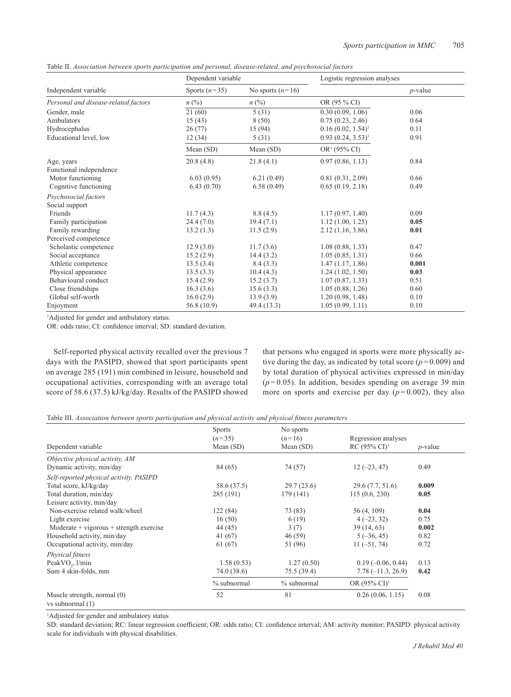Table II. *Association between sports participation and personal, disease-related, and psychosocial factors*

|                                      | Dependent variable |                    | Logistic regression analyses |            |
|--------------------------------------|--------------------|--------------------|------------------------------|------------|
| Independent variable                 | Sports $(n=35)$    | No sports $(n=16)$ |                              | $p$ -value |
| Personal and disease-related factors | $n\ (\%)$          | $n\ (\%)$          | OR (95 % CI)                 |            |
| Gender, male                         | 21(60)             | 5(31)              | 0.30(0.09, 1.06)             | 0.06       |
| Ambulators                           | 15(43)             | 8(50)              | 0.75(0.23, 2.46)             | 0.64       |
| Hydrocephalus                        | 26(77)             | 15 (94)            | $0.16(0.02, 1.54)^1$         | 0.11       |
| Educational level, low               | 12(34)             | 5(31)              | $0.93(0.24, 3.53)^1$         | 0.91       |
|                                      | Mean $(SD)$        | Mean $(SD)$        | $OR1$ (95% CI)               |            |
| Age, years                           | 20.8(4.8)          | 21.8(4.1)          | 0.97(0.86, 1.13)             | 0.84       |
| Functional independence              |                    |                    |                              |            |
| Motor functioning                    | 6.03(0.95)         | 6.21(0.49)         | 0.81(0.31, 2.09)             | 0.66       |
| Cognitive functioning                | 6.43(0.70)         | 6.58(0.49)         | 0.65(0.19, 2.18)             | 0.49       |
| Psychosocial factors                 |                    |                    |                              |            |
| Social support                       |                    |                    |                              |            |
| Friends                              | 11.7(4.3)          | 8.8(4.5)           | 1.17(0.97, 1.40)             | 0.09       |
| Family participation                 | 24.4(7.0)          | 19.4(7.1)          | 1.12(1.00, 1.25)             | 0.05       |
| Family rewarding                     | 13.2(1.3)          | 11.5(2.9)          | 2.12(1.16, 3.86)             | 0.01       |
| Perceived competence                 |                    |                    |                              |            |
| Scholastic competence                | 12.9(3.0)          | 11.7(3.6)          | 1.08(0.88, 1.33)             | 0.47       |
| Social acceptance                    | 15.2(2.9)          | 14.4(3.2)          | 1.05(0.85, 1.31)             | 0.66       |
| Athletic competence                  | 13.5(3.4)          | 8.4(3.3)           | 1.47(1.17, 1.86)             | 0.001      |
| Physical appearance                  | 13.5(3.3)          | 10.4(4.3)          | 1.24(1.02, 1.50)             | 0.03       |
| Behavioural conduct                  | 15.4(2.9)          | 15.2(3.7)          | 1.07(0.87, 1.33)             | 0.51       |
| Close friendships                    | 16.3(3.6)          | 15.6(3.3)          | 1.05(0.88, 1.26)             | 0.60       |
| Global self-worth                    | 16.0(2.9)          | 13.9(3.9)          | 1.20(0.98, 1.48)             | 0.10       |
| Enjoyment                            | 56.8 (10.9)        | 49.4 (13.3)        | 1.05(0.99, 1.11)             | 0.10       |

1 Adjusted for gender and ambulatory status.

OR: odds ratio; CI: confidence interval; SD: standard deviation.

Self-reported physical activity recalled over the previous 7 days with the PASIPD, showed that sport participants spent on average 285 (191) min combined in leisure, household and occupational activities, corresponding with an average total score of 58.6 (37.5) kJ/kg/day. Results of the PASIPD showed that persons who engaged in sports were more physically active during the day, as indicated by total score  $(p=0.009)$  and by total duration of physical activities expressed in min/day  $(p=0.05)$ . In addition, besides spending on average 39 min more on sports and exercise per day  $(p=0.002)$ , they also

| Table III. Association between sports participation and physical activity and physical fitness parameters |  |  |  |  |  |  |  |  |  |  |
|-----------------------------------------------------------------------------------------------------------|--|--|--|--|--|--|--|--|--|--|
|-----------------------------------------------------------------------------------------------------------|--|--|--|--|--|--|--|--|--|--|

|                                                   | <b>Sports</b> | No sports   |                          |            |  |
|---------------------------------------------------|---------------|-------------|--------------------------|------------|--|
|                                                   | $(n=35)$      | $(n=16)$    | Regression analyses      |            |  |
| Dependent variable                                | Mean $(SD)$   | Mean $(SD)$ | $RC (95\% CI)^1$         | $p$ -value |  |
| Objective physical activity, AM                   |               |             |                          |            |  |
| Dynamic activity, min/day                         | 84 (65)       | 74 (57)     | $12(-23, 47)$            | 0.49       |  |
| Self-reported physical activity, PASIPD           |               |             |                          |            |  |
| Total score, kJ/kg/day                            | 58.6 (37.5)   | 29.7(23.6)  | 29.6(7.7, 51.6)          | 0.009      |  |
| Total duration, min/day                           | 285 (191)     | 179 (141)   | 115(0.6, 230)            | 0.05       |  |
| Leisure activity, min/day                         |               |             |                          |            |  |
| Non-exercise related walk/wheel                   | 122(84)       | 73 (83)     | 56 (4, 109)              | 0.04       |  |
| Light exercise                                    | 16(50)        | 6(19)       | $4(-23, 32)$             | 0.75       |  |
| $Modernate + vigorous + strength exercise$        | 44 (45)       | 3(7)        | 39(14, 63)               | 0.002      |  |
| Household activity, min/day                       | 41 (67)       | 46(59)      | $5(-36, 45)$             | 0.82       |  |
| Occupational activity, min/day                    | 61(67)        | 51 (96)     | $11(-51, 74)$            | 0.72       |  |
| Physical fitness                                  |               |             |                          |            |  |
| PeakVO <sub>2</sub> , l/min                       | 1.58(0.53)    | 1.27(0.50)  | $0.19(-0.06, 0.44)$      | 0.13       |  |
| Sum 4 skin-folds, mm                              | 74.0 (38.6)   | 75.5 (39.4) | $7.78(-11.3, 26.9)$      | 0.42       |  |
|                                                   | $%$ subnormal | % subnormal | OR $(95\% \text{ CI})^1$ |            |  |
| Muscle strength, normal (0)<br>vs subnormal $(1)$ | 52            | 81          | 0.26(0.06, 1.15)         | 0.08       |  |

<sup>1</sup>Adjusted for gender and ambulatory status

SD: standard deviation; RC: linear regression coefficient; OR: odds ratio; CI: confidence interval; AM: activity monitor; PASIPD: physical activity scale for individuals with physical disabilities.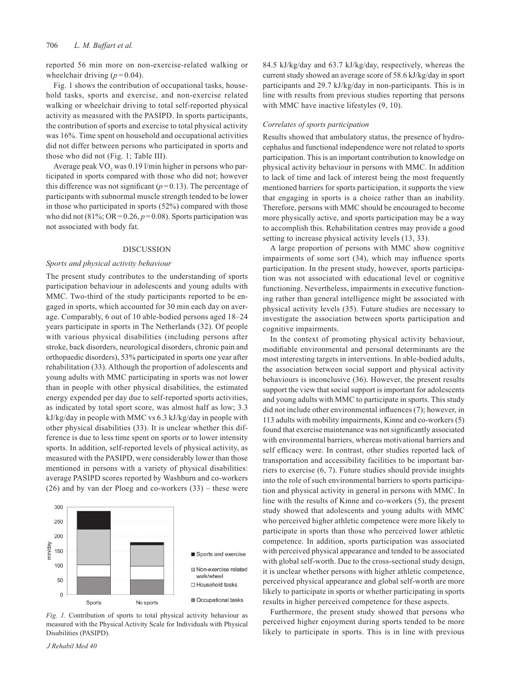reported 56 min more on non-exercise-related walking or wheelchair driving  $(p=0.04)$ .

Fig. 1 shows the contribution of occupational tasks, household tasks, sports and exercise, and non-exercise related walking or wheelchair driving to total self-reported physical activity as measured with the PASIPD. In sports participants, the contribution of sports and exercise to total physical activity was 16%. Time spent on household and occupational activities did not differ between persons who participated in sports and those who did not (Fig. 1; Table III).

Average peak VO<sub>2</sub> was 0.19 l/min higher in persons who participated in sports compared with those who did not; however this difference was not significant  $(p=0.13)$ . The percentage of participants with subnormal muscle strength tended to be lower in those who participated in sports (52%) compared with those who did not (81%;  $OR = 0.26$ ,  $p = 0.08$ ). Sports participation was not associated with body fat.

## DISCUSSION

#### *Sports and physical activity behaviour*

The present study contributes to the understanding of sports participation behaviour in adolescents and young adults with MMC. Two-third of the study participants reported to be engaged in sports, which accounted for 30 min each day on average. Comparably, 6 out of 10 able-bodied persons aged 18–24 years participate in sports in The Netherlands (32). Of people with various physical disabilities (including persons after stroke, back disorders, neurological disorders, chronic pain and orthopaedic disorders), 53% participated in sports one year after rehabilitation (33). Although the proportion of adolescents and young adults with MMC participating in sports was not lower than in people with other physical disabilities, the estimated energy expended per day due to self-reported sports activities, as indicated by total sport score, was almost half as low; 3.3 kJ/kg/day in people with MMC vs 6.3 kJ/kg/day in people with other physical disabilities (33). It is unclear whether this difference is due to less time spent on sports or to lower intensity sports. In addition, self-reported levels of physical activity, as measured with the PASIPD, were considerably lower than those mentioned in persons with a variety of physical disabilities: average PASIPD scores reported by Washburn and co-workers (26) and by van der Ploeg and co-workers (33) – these were



*Fig. 1.* Contribution of sports to total physical activity behaviour as measured with the Physical Activity Scale for Individuals with Physical Disabilities (PASIPD).

*J Rehabil Med 40*

84.5 kJ/kg/day and 63.7 kJ/kg/day, respectively, whereas the current study showed an average score of 58.6 kJ/kg/day in sport participants and 29.7 kJ/kg/day in non-participants. This is in line with results from previous studies reporting that persons with MMC have inactive lifestyles  $(9, 10)$ .

#### *Correlates of sports participation*

Results showed that ambulatory status, the presence of hydrocephalus and functional independence were not related to sports participation. This is an important contribution to knowledge on physical activity behaviour in persons with MMC. In addition to lack of time and lack of interest being the most frequently mentioned barriers for sports participation, it supports the view that engaging in sports is a choice rather than an inability. Therefore, persons with MMC should be encouraged to become more physically active, and sports participation may be a way to accomplish this. Rehabilitation centres may provide a good setting to increase physical activity levels (13, 33).

A large proportion of persons with MMC show cognitive impairments of some sort (34), which may influence sports participation. In the present study, however, sports participation was not associated with educational level or cognitive functioning. Nevertheless, impairments in executive functioning rather than general intelligence might be associated with physical activity levels (35). Future studies are necessary to investigate the association between sports participation and cognitive impairments.

In the context of promoting physical activity behaviour, modifiable environmental and personal determinants are the most interesting targets in interventions. In able-bodied adults, the association between social support and physical activity behaviours is inconclusive (36). However, the present results support the view that social support is important for adolescents and young adults with MMC to participate in sports. This study did not include other environmental influences (7); however, in 113 adults with mobility impairments, Kinne and co-workers (5) found that exercise maintenance was not significantly associated with environmental barriers, whereas motivational barriers and self efficacy were. In contrast, other studies reported lack of transportation and accessibility facilities to be important barriers to exercise (6, 7). Future studies should provide insights into the role of such environmental barriers to sports participation and physical activity in general in persons with MMC. In line with the results of Kinne and co-workers (5), the present study showed that adolescents and young adults with MMC who perceived higher athletic competence were more likely to participate in sports than those who perceived lower athletic competence. In addition, sports participation was associated with perceived physical appearance and tended to be associated with global self-worth. Due to the cross-sectional study design, it is unclear whether persons with higher athletic competence, perceived physical appearance and global self-worth are more likely to participate in sports or whether participating in sports results in higher perceived competence for these aspects.

Furthermore, the present study showed that persons who perceived higher enjoyment during sports tended to be more likely to participate in sports. This is in line with previous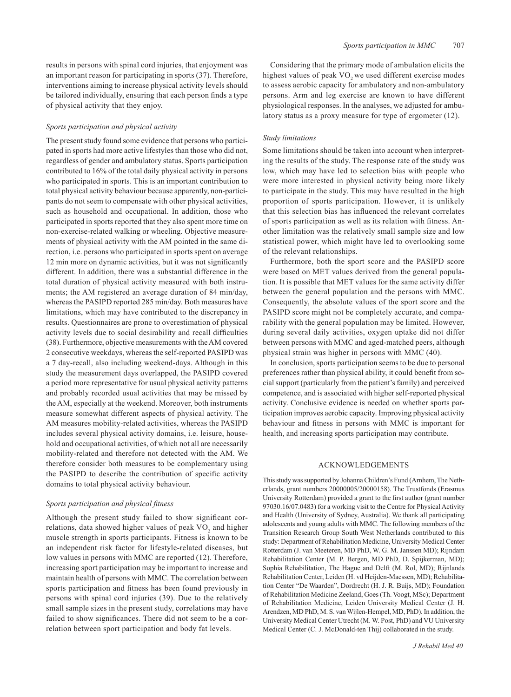results in persons with spinal cord injuries, that enjoyment was an important reason for participating in sports (37). Therefore, interventions aiming to increase physical activity levels should be tailored individually, ensuring that each person finds a type of physical activity that they enjoy.

#### *Sports participation and physical activity*

The present study found some evidence that persons who participated in sports had more active lifestyles than those who did not, regardless of gender and ambulatory status. Sports participation contributed to 16% of the total daily physical activity in persons who participated in sports. This is an important contribution to total physical activity behaviour because apparently, non-participants do not seem to compensate with other physical activities, such as household and occupational. In addition, those who participated in sports reported that they also spent more time on non-exercise-related walking or wheeling. Objective measurements of physical activity with the AM pointed in the same direction, i.e. persons who participated in sports spent on average 12 min more on dynamic activities, but it was not significantly different. In addition, there was a substantial difference in the total duration of physical activity measured with both instruments; the AM registered an average duration of 84 min/day, whereas the PASIPD reported 285 min/day. Both measures have limitations, which may have contributed to the discrepancy in results. Questionnaires are prone to overestimation of physical activity levels due to social desirability and recall difficulties (38). Furthermore, objective measurements with the AM covered 2 consecutive weekdays, whereas the self-reported PASIPD was a 7 day-recall, also including weekend-days. Although in this study the measurement days overlapped, the PASIPD covered a period more representative for usual physical activity patterns and probably recorded usual activities that may be missed by the AM, especially at the weekend. Moreover, both instruments measure somewhat different aspects of physical activity. The AM measures mobility-related activities, whereas the PASIPD includes several physical activity domains, i.e. leisure, household and occupational activities, of which not all are necessarily mobility-related and therefore not detected with the AM. We therefore consider both measures to be complementary using the PASIPD to describe the contribution of specific activity domains to total physical activity behaviour.

#### *Sports participation and physical fitness*

Although the present study failed to show significant correlations, data showed higher values of peak  $VO<sub>2</sub>$  and higher muscle strength in sports participants. Fitness is known to be an independent risk factor for lifestyle-related diseases, but low values in persons with MMC are reported (12). Therefore, increasing sport participation may be important to increase and maintain health of persons with MMC. The correlation between sports participation and fitness has been found previously in persons with spinal cord injuries (39). Due to the relatively small sample sizes in the present study, correlations may have failed to show significances. There did not seem to be a correlation between sport participation and body fat levels.

Considering that the primary mode of ambulation elicits the highest values of peak VO<sub>2</sub> we used different exercise modes to assess aerobic capacity for ambulatory and non-ambulatory persons. Arm and leg exercise are known to have different physiological responses. In the analyses, we adjusted for ambulatory status as a proxy measure for type of ergometer (12).

## *Study limitations*

Some limitations should be taken into account when interpreting the results of the study. The response rate of the study was low, which may have led to selection bias with people who were more interested in physical activity being more likely to participate in the study. This may have resulted in the high proportion of sports participation. However, it is unlikely that this selection bias has influenced the relevant correlates of sports participation as well as its relation with fitness. Another limitation was the relatively small sample size and low statistical power, which might have led to overlooking some of the relevant relationships.

Furthermore, both the sport score and the PASIPD score were based on MET values derived from the general population. It is possible that MET values for the same activity differ between the general population and the persons with MMC. Consequently, the absolute values of the sport score and the PASIPD score might not be completely accurate, and comparability with the general population may be limited. However, during several daily activities, oxygen uptake did not differ between persons with MMC and aged-matched peers, although physical strain was higher in persons with MMC (40).

In conclusion, sports participation seems to be due to personal preferences rather than physical ability, it could benefit from social support (particularly from the patient's family) and perceived competence, and is associated with higher self-reported physical activity. Conclusive evidence is needed on whether sports participation improves aerobic capacity. Improving physical activity behaviour and fitness in persons with MMC is important for health, and increasing sports participation may contribute.

## AcknowledgEments

This study was supported by Johanna Children's Fund (Arnhem, The Netherlands, grant numbers 20000005/20000158). The Trustfonds (Erasmus University Rotterdam) provided a grant to the first author (grant number 97030.16/07.0483) for a working visit to the Centre for Physical Activity and Health (University of Sydney, Australia). We thank all participating adolescents and young adults with MMC. The following members of the Transition Research Group South West Netherlands contributed to this study: Department of Rehabilitation Medicine, University Medical Center Rotterdam (J. van Meeteren, MD PhD, W. G. M. Janssen MD); Rijndam Rehabilitation Center (M. P. Bergen, MD PhD, D. Spijkerman, MD); Sophia Rehabilitation, The Hague and Delft (M. Rol, MD); Rijnlands Rehabilitation Center, Leiden (H. vd Heijden-Maessen, MD); Rehabilitation Center "De Waarden", Dordrecht (H. J. R. Buijs, MD); Foundation of Rehabilitation Medicine Zeeland, Goes (Th. Voogt, MSc); Department of Rehabilitation Medicine, Leiden University Medical Center (J. H. Arendzen, MD PhD, M. S. van Wijlen-Hempel, MD, PhD). In addition, the University Medical Center Utrecht (M. W. Post, PhD) and VU University Medical Center (C. J. McDonald-ten Thij) collaborated in the study.